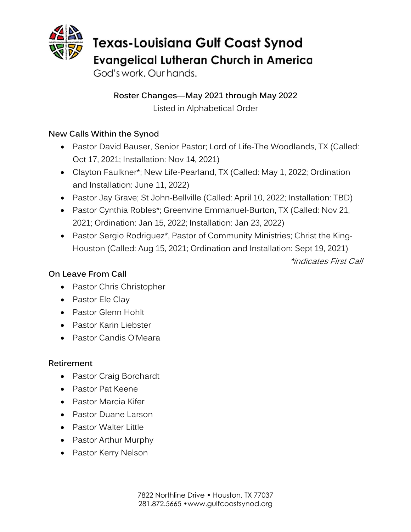

God's work. Our hands.

**Roster Changes—May 2021 through May 2022** Listed in Alphabetical Order

# **New Calls Within the Synod**

- Pastor David Bauser, Senior Pastor; Lord of Life-The Woodlands, TX (Called: Oct 17, 2021; Installation: Nov 14, 2021)
- Clayton Faulkner\*; New Life-Pearland, TX (Called: May 1, 2022; Ordination and Installation: June 11, 2022)
- Pastor Jay Grave; St John-Bellville (Called: April 10, 2022; Installation: TBD)
- Pastor Cynthia Robles\*; Greenvine Emmanuel-Burton, TX (Called: Nov 21, 2021; Ordination: Jan 15, 2022; Installation: Jan 23, 2022)
- Pastor Sergio Rodriguez\*, Pastor of Community Ministries; Christ the King-Houston (Called: Aug 15, 2021; Ordination and Installation: Sept 19, 2021)

\*indicates First Call

## **On Leave From Call**

- Pastor Chris Christopher
- Pastor Ele Clay
- Pastor Glenn Hohlt
- Pastor Karin Liebster
- Pastor Candis O'Meara

## **Retirement**

- Pastor Craig Borchardt
- Pastor Pat Keene
- Pastor Marcia Kifer
- Pastor Duane Larson
- Pastor Walter Little
- Pastor Arthur Murphy
- Pastor Kerry Nelson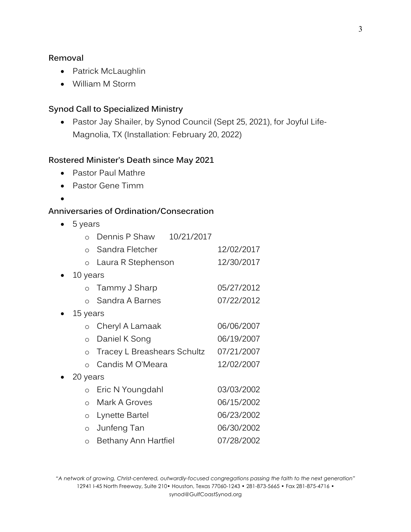#### **Removal**

- Patrick McLaughlin
- William M Storm

#### **Synod Call to Specialized Ministry**

• Pastor Jay Shailer, by Synod Council (Sept 25, 2021), for Joyful Life-Magnolia, TX (Installation: February 20, 2022)

#### **Rostered Minister's Death since May 2021**

- Pastor Paul Mathre
- Pastor Gene Timm
- •

### **Anniversaries of Ordination/Consecration**

• 5 years

|           | $\circ$   | Dennis P Shaw               | 10/21/2017 |            |  |
|-----------|-----------|-----------------------------|------------|------------|--|
|           | $\Omega$  | Sandra Fletcher             |            | 12/02/2017 |  |
|           | $\circ$   | Laura R Stephenson          |            | 12/30/2017 |  |
| $\bullet$ | 10 years  |                             |            |            |  |
|           | $\circ$   | Tammy J Sharp               |            | 05/27/2012 |  |
|           | $\bigcap$ | Sandra A Barnes             |            | 07/22/2012 |  |
|           | 15 years  |                             |            |            |  |
|           | $\circ$   | Cheryl A Lamaak             |            | 06/06/2007 |  |
|           | $\circ$   | Daniel K Song               |            | 06/19/2007 |  |
|           | $\circ$   | Tracey L Breashears Schultz |            | 07/21/2007 |  |
|           | $\Omega$  | Candis M O'Meara            |            | 12/02/2007 |  |
|           | 20 years  |                             |            |            |  |
|           | $\circ$   | Eric N Youngdahl            |            | 03/03/2002 |  |
|           | $\Omega$  | Mark A Groves               |            | 06/15/2002 |  |
|           | $\circ$   | Lynette Bartel              |            | 06/23/2002 |  |
|           | $\circ$   | Junfeng Tan                 |            | 06/30/2002 |  |
|           | $\circ$   | Bethany Ann Hartfiel        |            | 07/28/2002 |  |

*"A network of growing, Christ-centered, outwardly-focused congregations passing the faith to the next generation"* 12941 I-45 North Freeway, Suite 210• Houston, Texas 77060-1243 • 281-873-5665 • Fax 281-875-4716 • synod@GulfCoastSynod.org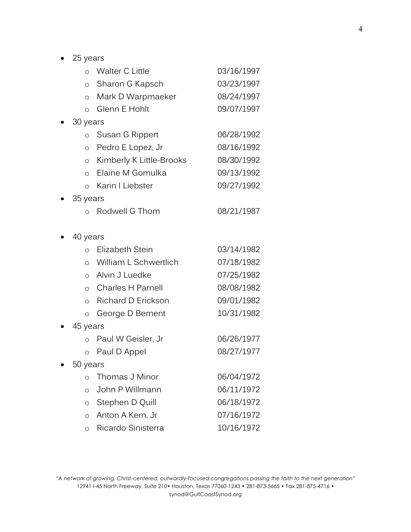• 25 years

|           | $\circ$  | Walter C Little          | 03/16/1997 |  |
|-----------|----------|--------------------------|------------|--|
|           | $\circ$  | Sharon G Kapsch          | 03/23/1997 |  |
|           | $\circ$  | Mark D Warpmaeker        | 08/24/1997 |  |
|           | $\circ$  | Glenn E Hohlt            | 09/07/1997 |  |
|           | 30 years |                          |            |  |
|           | $\circ$  | Susan G Rippert          | 06/28/1992 |  |
|           | $\circ$  | Pedro E Lopez, Jr        | 08/16/1992 |  |
|           | $\circ$  | Kimberly K Little-Brooks | 08/30/1992 |  |
|           | $\circ$  | Elaine M Gomulka         | 09/13/1992 |  |
|           | $\circ$  | Karin I Liebster         | 09/27/1992 |  |
|           | 35 years |                          |            |  |
|           | $\circ$  | Rodwell G Thom           | 08/21/1987 |  |
|           |          |                          |            |  |
|           | 40 years |                          |            |  |
|           | $\circ$  | Elizabeth Stein          | 03/14/1982 |  |
|           | $\circ$  | William L Schwertlich    | 07/18/1982 |  |
|           |          | o Alvin J Luedke         | 07/25/1982 |  |
|           | $\circ$  | <b>Charles H Parnell</b> | 08/08/1982 |  |
|           | $\circ$  | Richard D Erickson       | 09/01/1982 |  |
|           | $\circ$  | George D Bement          | 10/31/1982 |  |
| $\bullet$ | 45 years |                          |            |  |
|           | $\circ$  | Paul W Geisler, Jr       | 06/26/1977 |  |
|           | $\circ$  | Paul D Appel             | 08/27/1977 |  |
|           | 50 years |                          |            |  |
|           | $\circ$  | Thomas J Minor           | 06/04/1972 |  |
|           | $\circ$  | John P Willmann          | 06/11/1972 |  |
|           | $\circ$  | Stephen D Quill          | 06/18/1972 |  |
|           | $\circ$  | Anton A Kern, Jr         | 07/16/1972 |  |
|           | $\circ$  | Ricardo Sinisterra       | 10/16/1972 |  |

*"A network of growing, Christ-centered, outwardly-focused congregations passing the faith to the next generation"* 12941 I-45 North Freeway, Suite 210• Houston, Texas 77060-1243 • 281-873-5665 • Fax 281-875-4716 • synod@GulfCoastSynod.org